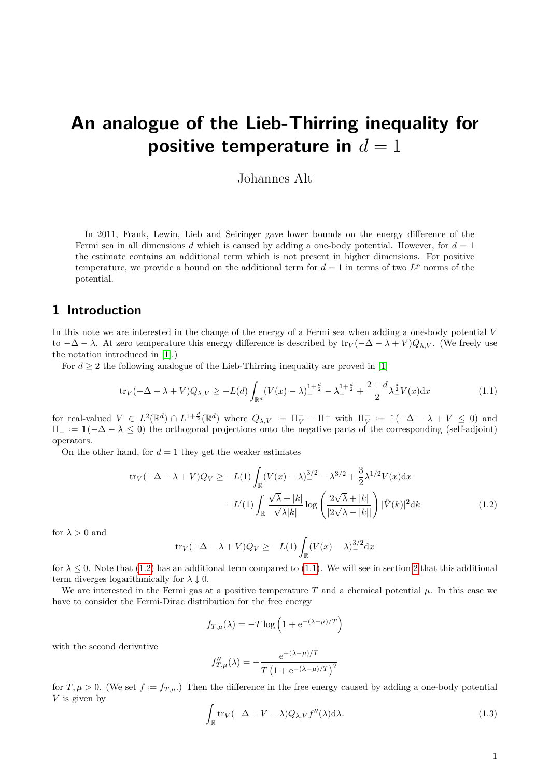# **An analogue of the Lieb-Thirring inequality for positive temperature in**  $d = 1$

<span id="page-0-1"></span>Johannes Alt

In 2011, Frank, Lewin, Lieb and Seiringer gave lower bounds on the energy difference of the Fermi sea in all dimensions *d* which is caused by adding a one-body potential. However, for *d* = 1 the estimate contains an additional term which is not present in higher dimensions. For positive temperature, we provide a bound on the additional term for  $d = 1$  in terms of two  $L^p$  norms of the potential.

#### **1 Introduction**

In this note we are interested in the change of the energy of a Fermi sea when adding a one-body potential *V* to  $-\Delta - \lambda$ . At zero temperature this energy difference is described by  $tr_V(-\Delta - \lambda + V)Q_{\lambda,V}$ . (We freely use the notation introduced in [\[1\]](#page-4-0).)

For  $d \geq 2$  the following analogue of the Lieb-Thirring inequality are proved in [\[1\]](#page-4-0)

$$
\text{tr}_V(-\Delta - \lambda + V)Q_{\lambda, V} \ge -L(d) \int_{\mathbb{R}^d} (V(x) - \lambda)_-^{1 + \frac{d}{2}} - \lambda_+^{1 + \frac{d}{2}} + \frac{2 + d}{2} \lambda_+^{\frac{d}{2}} V(x) dx \tag{1.1}
$$

 $\mathcal{L} \in L^2(\mathbb{R}^d) \cap L^{1+\frac{d}{2}}(\mathbb{R}^d)$  where  $Q_{\lambda,V} := \Pi_V^- - \Pi^-$  with  $\Pi_V^- := \mathbb{1}(-\Delta - \lambda + V \leq 0)$  and  $\Pi_- := 1(-\Delta - \lambda \leq 0)$  the orthogonal projections onto the negative parts of the corresponding (self-adjoint) operators.

On the other hand, for  $d = 1$  they get the weaker estimates

$$
\text{tr}_V(-\Delta - \lambda + V)Q_V \ge -L(1) \int_{\mathbb{R}} (V(x) - \lambda)^{3/2} \, ds - \lambda^{3/2} + \frac{3}{2} \lambda^{1/2} V(x) \, dx
$$
\n
$$
-L'(1) \int_{\mathbb{R}} \frac{\sqrt{\lambda} + |k|}{\sqrt{\lambda} |k|} \log \left( \frac{2\sqrt{\lambda} + |k|}{|2\sqrt{\lambda} - |k|} \right) |\hat{V}(k)|^2 \, dx \tag{1.2}
$$

for  $\lambda > 0$  and

$$
\operatorname{tr}_V(-\Delta - \lambda + V)Q_V \ge -L(1)\int_{\mathbb{R}} (V(x) - \lambda)^{3/2} dx
$$

for  $\lambda \leq 0$ . Note that [\(1.2\)](#page-0-0) has an additional term compared to [\(1.1\)](#page-0-1). We will see in section [2](#page-1-0) that this additional term diverges logarithmically for  $\lambda \downarrow 0$ .

We are interested in the Fermi gas at a positive temperature  $T$  and a chemical potential  $\mu$ . In this case we have to consider the Fermi-Dirac distribution for the free energy

<span id="page-0-0"></span>
$$
f_{T,\mu}(\lambda) = -T \log \left( 1 + e^{-(\lambda - \mu)/T} \right)
$$

with the second derivative

$$
f''_{T,\mu}(\lambda) = -\frac{e^{-(\lambda-\mu)/T}}{T(1 + e^{-(\lambda-\mu)/T})^2}
$$

for  $T, \mu > 0$ . (We set  $f := f_{T,\mu}$ .) Then the difference in the free energy caused by adding a one-body potential *V* is given by

$$
\int_{\mathbb{R}} \text{tr}_V(-\Delta + V - \lambda) Q_{\lambda, V} f''(\lambda) d\lambda.
$$
\n(1.3)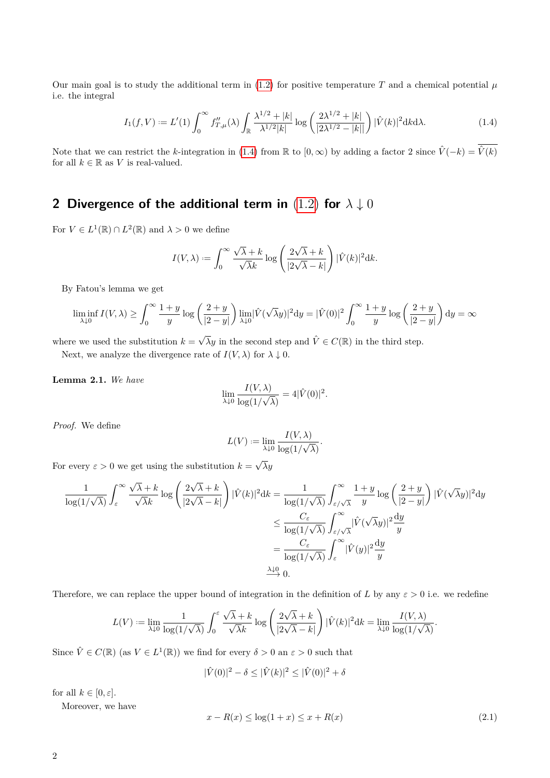Our main goal is to study the additional term in  $(1.2)$  for positive temperature *T* and a chemical potential  $\mu$ i.e. the integral

<span id="page-1-1"></span>
$$
I_1(f, V) := L'(1) \int_0^\infty f_{T,\mu}(\lambda) \int_{\mathbb{R}} \frac{\lambda^{1/2} + |k|}{\lambda^{1/2} |k|} \log \left( \frac{2\lambda^{1/2} + |k|}{|2\lambda^{1/2} - |k|} \right) |\hat{V}(k)|^2 \, \mathrm{d}k \, \mathrm{d}\lambda. \tag{1.4}
$$

Note that we can restrict the *k*-integration in [\(1.4\)](#page-1-1) from R to  $[0, \infty)$  by adding a factor 2 since  $\hat{V}(-k) = \overline{\hat{V}(k)}$ for all  $k \in \mathbb{R}$  as *V* is real-valued.

### <span id="page-1-0"></span>**2 Divergence of the additional term in** [\(1.2\)](#page-0-0) **for** *λ* ↓ 0

For  $V \in L^1(\mathbb{R}) \cap L^2(\mathbb{R})$  and  $\lambda > 0$  we define

$$
I(V,\lambda) := \int_0^\infty \frac{\sqrt{\lambda} + k}{\sqrt{\lambda}k} \log \left( \frac{2\sqrt{\lambda} + k}{|2\sqrt{\lambda} - k|} \right) |\hat{V}(k)|^2 \mathrm{d}k.
$$

By Fatou's lemma we get

$$
\liminf_{\lambda \downarrow 0} I(V, \lambda) \ge \int_0^\infty \frac{1+y}{y} \log \left( \frac{2+y}{|2-y|} \right) \lim_{\lambda \downarrow 0} |\hat{V}(\sqrt{\lambda}y)|^2 dy = |\hat{V}(0)|^2 \int_0^\infty \frac{1+y}{y} \log \left( \frac{2+y}{|2-y|} \right) dy = \infty
$$

where we used the substitution  $k =$  $\sqrt{\lambda}y$  in the second step and  $\hat{V} \in C(\mathbb{R})$  in the third step.

Next, we analyze the divergence rate of  $I(V, \lambda)$  for  $\lambda \downarrow 0$ .

**Lemma 2.1.** *We have*

$$
\lim_{\lambda \downarrow 0} \frac{I(V, \lambda)}{\log(1/\sqrt{\lambda})} = 4|\hat{V}(0)|^2.
$$

*Proof.* We define

$$
L(V) := \lim_{\lambda \downarrow 0} \frac{I(V, \lambda)}{\log(1/\sqrt{\lambda})}.
$$

For every  $\varepsilon > 0$  we get using the substitution  $k =$ √ *λy*

$$
\frac{1}{\log(1/\sqrt{\lambda})} \int_{\varepsilon}^{\infty} \frac{\sqrt{\lambda} + k}{\sqrt{\lambda}k} \log \left( \frac{2\sqrt{\lambda} + k}{|2\sqrt{\lambda} - k|} \right) |\hat{V}(k)|^2 dk = \frac{1}{\log(1/\sqrt{\lambda})} \int_{\varepsilon/\sqrt{\lambda}}^{\infty} \frac{1 + y}{y} \log \left( \frac{2 + y}{|2 - y|} \right) |\hat{V}(\sqrt{\lambda}y)|^2 dy
$$
  

$$
\leq \frac{C_{\varepsilon}}{\log(1/\sqrt{\lambda})} \int_{\varepsilon/\sqrt{\lambda}}^{\infty} |\hat{V}(\sqrt{\lambda}y)|^2 \frac{dy}{y}
$$
  

$$
= \frac{C_{\varepsilon}}{\log(1/\sqrt{\lambda})} \int_{\varepsilon}^{\infty} |\hat{V}(y)|^2 \frac{dy}{y}
$$
  

$$
\xrightarrow{\lambda \downarrow 0} 0.
$$

Therefore, we can replace the upper bound of integration in the definition of *L* by any  $\varepsilon > 0$  i.e. we redefine

$$
L(V) := \lim_{\lambda \downarrow 0} \frac{1}{\log(1/\sqrt{\lambda})} \int_0^{\varepsilon} \frac{\sqrt{\lambda} + k}{\sqrt{\lambda}k} \log\left(\frac{2\sqrt{\lambda} + k}{|2\sqrt{\lambda} - k|}\right) |\hat{V}(k)|^2 \mathrm{d}k = \lim_{\lambda \downarrow 0} \frac{I(V, \lambda)}{\log(1/\sqrt{\lambda})}.
$$

Since  $\hat{V} \in C(\mathbb{R})$  (as  $V \in L^1(\mathbb{R})$ ) we find for every  $\delta > 0$  an  $\varepsilon > 0$  such that

$$
|\hat{V}(0)|^2 - \delta \le |\hat{V}(k)|^2 \le |\hat{V}(0)|^2 + \delta
$$

for all  $k \in [0, \varepsilon]$ .

Moreover, we have

<span id="page-1-2"></span>
$$
x - R(x) \le \log(1 + x) \le x + R(x)
$$
\n(2.1)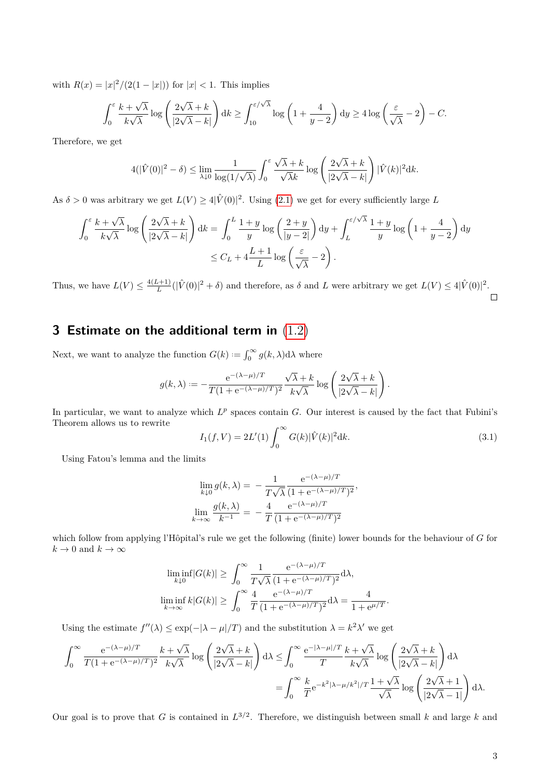with  $R(x) = |x|^2/(2(1-|x|))$  for  $|x| < 1$ . This implies

$$
\int_0^{\varepsilon} \frac{k + \sqrt{\lambda}}{k\sqrt{\lambda}} \log \left( \frac{2\sqrt{\lambda} + k}{|2\sqrt{\lambda} - k|} \right) dk \ge \int_1^{\varepsilon/\sqrt{\lambda}} \log \left( 1 + \frac{4}{y - 2} \right) dy \ge 4 \log \left( \frac{\varepsilon}{\sqrt{\lambda}} - 2 \right) - C.
$$

Therefore, we get

$$
4(|\hat{V}(0)|^2 - \delta) \leq \lim_{\lambda \downarrow 0} \frac{1}{\log(1/\sqrt{\lambda})} \int_0^{\varepsilon} \frac{\sqrt{\lambda} + k}{\sqrt{\lambda}k} \log \left( \frac{2\sqrt{\lambda} + k}{|2\sqrt{\lambda} - k|} \right) |\hat{V}(k)|^2 \mathrm{d}k.
$$

As  $\delta > 0$  was arbitrary we get  $L(V) \geq 4|\hat{V}(0)|^2$ . Using [\(2.1\)](#page-1-2) we get for every sufficiently large L

$$
\int_0^{\varepsilon} \frac{k + \sqrt{\lambda}}{k\sqrt{\lambda}} \log \left( \frac{2\sqrt{\lambda} + k}{|2\sqrt{\lambda} - k|} \right) dk = \int_0^L \frac{1 + y}{y} \log \left( \frac{2 + y}{|y - 2|} \right) dy + \int_L^{\varepsilon/\sqrt{\lambda}} \frac{1 + y}{y} \log \left( 1 + \frac{4}{y - 2} \right) dy
$$
  

$$
\leq C_L + 4\frac{L + 1}{L} \log \left( \frac{\varepsilon}{\sqrt{\lambda}} - 2 \right).
$$

Thus, we have  $L(V) \leq \frac{4(L+1)}{L}$  $\frac{L+1}{L}(|\hat{V}(0)|^2 + \delta)$  and therefore, as  $\delta$  and *L* were arbitrary we get  $L(V) \leq 4|\hat{V}(0)|^2$ .  $\Box$ 

## **3 Estimate on the additional term in** [\(1.2\)](#page-0-0)

Next, we want to analyze the function  $G(k) := \int_0^\infty g(k, \lambda) d\lambda$  where

$$
g(k,\lambda):=-\frac{\mathrm{e}^{-(\lambda-\mu)/T}}{T(1+\mathrm{e}^{-(\lambda-\mu)/T})^2}\frac{\sqrt{\lambda}+k}{k\sqrt{\lambda}}\log\left(\frac{2\sqrt{\lambda}+k}{|2\sqrt{\lambda}-k|}\right).
$$

In particular, we want to analyze which  $L^p$  spaces contain  $G$ . Our interest is caused by the fact that Fubini's Theorem allows us to rewrite

<span id="page-2-0"></span>
$$
I_1(f, V) = 2L'(1) \int_0^\infty G(k) |\hat{V}(k)|^2 dk.
$$
\n(3.1)

Using Fatou's lemma and the limits

$$
\lim_{k \to 0} g(k, \lambda) = -\frac{1}{T\sqrt{\lambda}} \frac{e^{-(\lambda - \mu)/T}}{(1 + e^{-(\lambda - \mu)/T})^2},
$$

$$
\lim_{k \to \infty} \frac{g(k, \lambda)}{k^{-1}} = -\frac{4}{T} \frac{e^{-(\lambda - \mu)/T}}{(1 + e^{-(\lambda - \mu)/T})^2}
$$

which follow from applying l'Hôpital's rule we get the following (finite) lower bounds for the behaviour of *G* for  $k \to 0$  and  $k \to \infty$ 

$$
\liminf_{k \downarrow 0} |G(k)| \ge \int_0^\infty \frac{1}{T\sqrt{\lambda}} \frac{e^{-(\lambda - \mu)/T}}{(1 + e^{-(\lambda - \mu)/T})^2} d\lambda,
$$
  

$$
\liminf_{k \to \infty} k|G(k)| \ge \int_0^\infty \frac{4}{T} \frac{e^{-(\lambda - \mu)/T}}{(1 + e^{-(\lambda - \mu)/T})^2} d\lambda = \frac{4}{1 + e^{\mu/T}}.
$$

Using the estimate  $f''(\lambda) \leq \exp(-|\lambda - \mu|/T)$  and the substitution  $\lambda = k^2 \lambda'$  we get

$$
\begin{split} \int_{0}^{\infty}\frac{\mathrm{e}^{-(\lambda-\mu)/T}}{T(1+\mathrm{e}^{-(\lambda-\mu)/T})^2}\frac{k+\sqrt{\lambda}}{k\sqrt{\lambda}}\log\left(\frac{2\sqrt{\lambda}+k}{|2\sqrt{\lambda}-k|}\right)\mathrm{d}\lambda \leq & \int_{0}^{\infty}\frac{\mathrm{e}^{-|\lambda-\mu|/T}}{T}\frac{k+\sqrt{\lambda}}{k\sqrt{\lambda}}\log\left(\frac{2\sqrt{\lambda}+k}{|2\sqrt{\lambda}-k|}\right)\mathrm{d}\lambda\\ = & \int_{0}^{\infty}\frac{k}{T}\mathrm{e}^{-k^2|\lambda-\mu/k^2|/T}\frac{1+\sqrt{\lambda}}{\sqrt{\lambda}}\log\left(\frac{2\sqrt{\lambda}+1}{|2\sqrt{\lambda}-1|}\right)\mathrm{d}\lambda. \end{split}
$$

Our goal is to prove that *G* is contained in  $L^{3/2}$ . Therefore, we distinguish between small *k* and large *k* and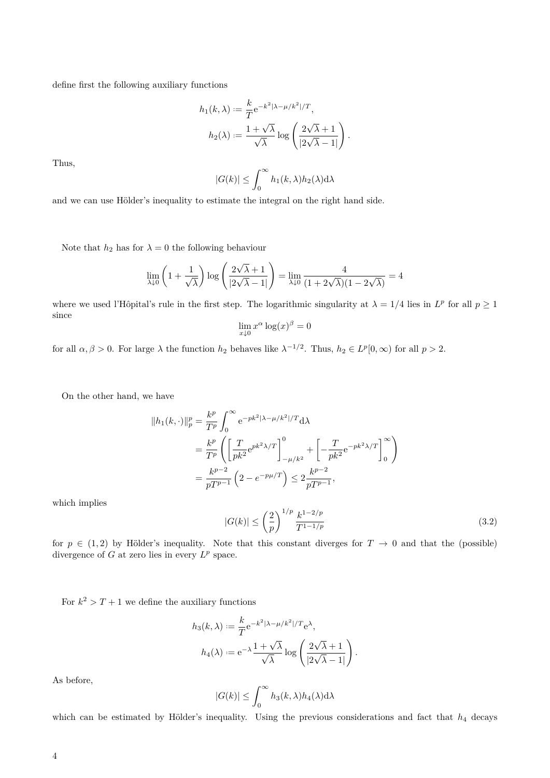define first the following auxiliary functions

$$
h_1(k,\lambda) := \frac{k}{T} e^{-k^2 |\lambda - \mu/k^2|/T},
$$

$$
h_2(\lambda) := \frac{1 + \sqrt{\lambda}}{\sqrt{\lambda}} \log \left( \frac{2\sqrt{\lambda} + 1}{|2\sqrt{\lambda} - 1|} \right).
$$

Thus,

$$
|G(k)| \leq \int_0^\infty h_1(k,\lambda)h_2(\lambda) d\lambda
$$

and we can use Hölder's inequality to estimate the integral on the right hand side.

Note that  $h_2$  has for  $\lambda = 0$  the following behaviour

$$
\lim_{\lambda \downarrow 0} \left( 1 + \frac{1}{\sqrt{\lambda}} \right) \log \left( \frac{2\sqrt{\lambda} + 1}{|2\sqrt{\lambda} - 1|} \right) = \lim_{\lambda \downarrow 0} \frac{4}{(1 + 2\sqrt{\lambda})(1 - 2\sqrt{\lambda})} = 4
$$

where we used l'Hôpital's rule in the first step. The logarithmic singularity at  $\lambda = 1/4$  lies in  $L^p$  for all  $p \ge 1$ since

$$
\lim_{x \downarrow 0} x^{\alpha} \log(x)^{\beta} = 0
$$

for all  $\alpha, \beta > 0$ . For large  $\lambda$  the function  $h_2$  behaves like  $\lambda^{-1/2}$ . Thus,  $h_2 \in L^p[0, \infty)$  for all  $p > 2$ .

On the other hand, we have

$$
||h_1(k, \cdot)||_p^p = \frac{k^p}{T^p} \int_0^\infty e^{-pk^2|\lambda - \mu/k^2|/T} d\lambda
$$
  
=  $\frac{k^p}{T^p} \left( \left[ \frac{T}{pk^2} e^{pk^2 \lambda/T} \right]_{-\mu/k^2}^0 + \left[ -\frac{T}{pk^2} e^{-pk^2 \lambda/T} \right]_0^\infty \right)$   
=  $\frac{k^{p-2}}{pT^{p-1}} \left( 2 - e^{-p\mu/T} \right) \le 2 \frac{k^{p-2}}{pT^{p-1}},$ 

<span id="page-3-0"></span>which implies

$$
|G(k)| \le \left(\frac{2}{p}\right)^{1/p} \frac{k^{1-2/p}}{T^{1-1/p}}\tag{3.2}
$$

for  $p \in (1,2)$  by Hölder's inequality. Note that this constant diverges for  $T \to 0$  and that the (possible) divergence of  $G$  at zero lies in every  $L^p$  space.

For  $k^2 > T + 1$  we define the auxiliary functions

$$
h_3(k,\lambda) := \frac{k}{T} e^{-k^2|\lambda - \mu/k^2|/T} e^{\lambda},
$$

$$
h_4(\lambda) := e^{-\lambda} \frac{1 + \sqrt{\lambda}}{\sqrt{\lambda}} \log \left( \frac{2\sqrt{\lambda} + 1}{|2\sqrt{\lambda} - 1|} \right).
$$

As before,

$$
|G(k)| \leq \int_0^\infty h_3(k,\lambda) h_4(\lambda) \mathrm{d}\lambda
$$

which can be estimated by Hölder's inequality. Using the previous considerations and fact that  $h_4$  decays